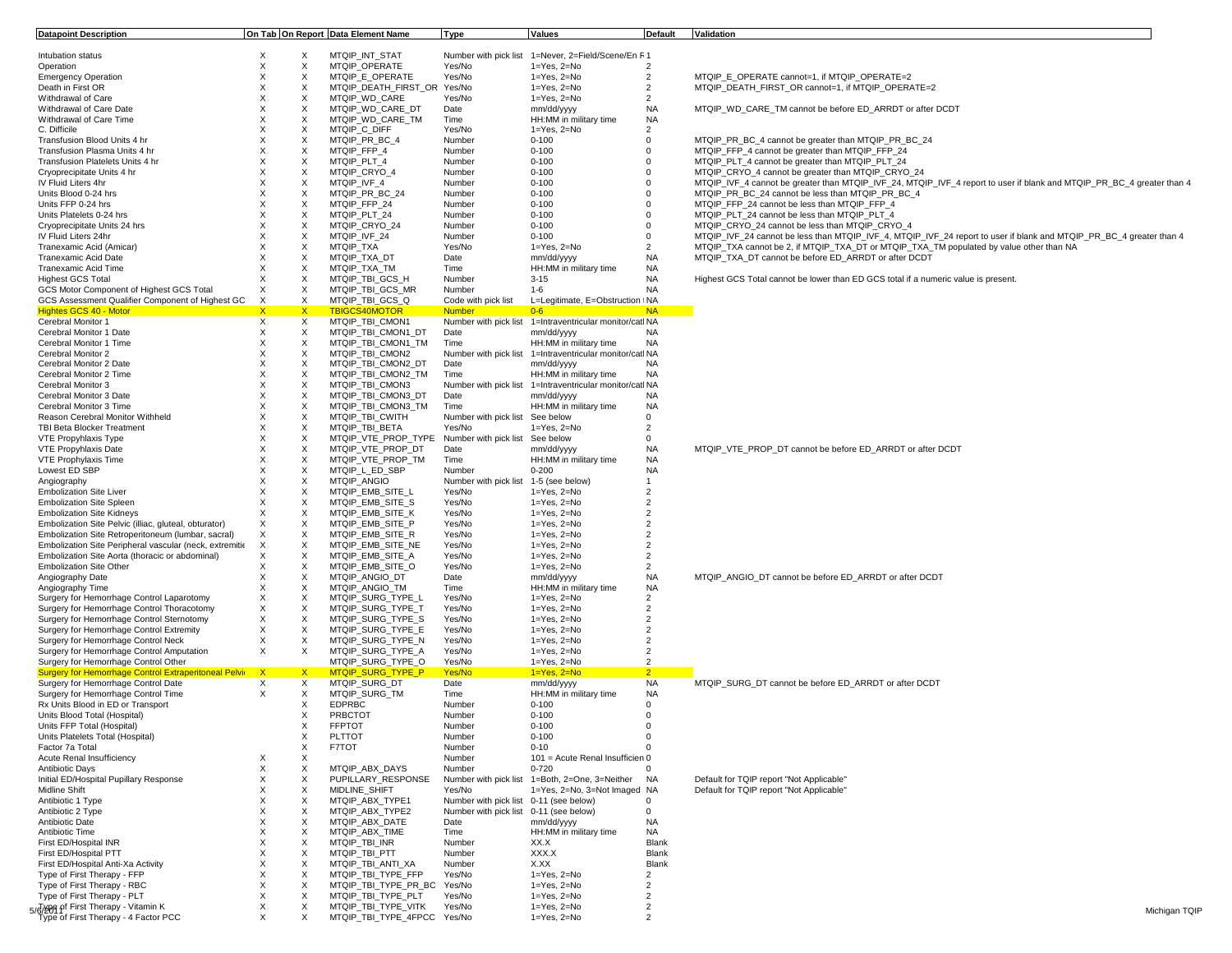| <b>Datapoint Description</b>                                |              |              | On Tab On Report Data Element Name                  | <b>Type</b>                            | <b>Values</b>                                            | Default        | Validation                                                                                                            |
|-------------------------------------------------------------|--------------|--------------|-----------------------------------------------------|----------------------------------------|----------------------------------------------------------|----------------|-----------------------------------------------------------------------------------------------------------------------|
|                                                             |              |              |                                                     |                                        |                                                          |                |                                                                                                                       |
| Intubation status                                           | X            | X            | MTQIP_INT_STAT                                      |                                        | Number with pick list 1=Never, 2=Field/Scene/En F1       |                |                                                                                                                       |
| Operation                                                   | X            | X            | MTQIP OPERATE                                       | Yes/No                                 | $1 = Yes$ , $2 = No$                                     | $\overline{2}$ |                                                                                                                       |
| <b>Emergency Operation</b>                                  | X            | $\times$     | MTQIP E OPERATE                                     | Yes/No                                 | $1 = Yes. 2 = No$                                        | $\overline{2}$ | MTQIP E OPERATE cannot=1, if MTQIP OPERATE=2                                                                          |
| Death in First OR                                           | X            | X            | MTQIP_DEATH_FIRST_OR Yes/No                         |                                        | 1=Yes, 2=No                                              | $\overline{2}$ | MTQIP_DEATH_FIRST_OR cannot=1, if MTQIP_OPERATE=2                                                                     |
| Withdrawal of Care                                          | $\times$     | $\times$     | MTQIP WD CARE                                       | Yes/No                                 | $1 = Yes$ , $2 = No$                                     | $\overline{2}$ |                                                                                                                       |
| Withdrawal of Care Date                                     | X            | X            | MTQIP WD CARE DT                                    | Date                                   | mm/dd/yyyy                                               | <b>NA</b>      | MTQIP WD CARE TM cannot be before ED ARRDT or after DCDT                                                              |
| Withdrawal of Care Time                                     | X            | X            | MTQIP WD CARE TM                                    | Time                                   | HH:MM in military time                                   | NA             |                                                                                                                       |
| C. Difficile                                                | X            | X            | MTQIP C DIFF                                        | Yes/No                                 | 1=Yes, 2=No                                              | $\overline{2}$ |                                                                                                                       |
| Transfusion Blood Units 4 hr                                | X            | X            | MTQIP_PR_BC_4                                       | Number                                 | $0 - 100$                                                | $\mathbf 0$    | MTQIP_PR_BC_4 cannot be greater than MTQIP_PR_BC_24                                                                   |
| Transfusion Plasma Units 4 hr                               | X            | X            | MTQIP FFP 4                                         | Number                                 | $0 - 100$                                                | 0              | MTQIP FFP 4 cannot be greater than MTQIP FFP 24                                                                       |
| Transfusion Platelets Units 4 hr                            | $\times$     | X            | MTQIP_PLT_4                                         | Number                                 | $0 - 100$                                                | 0              | MTQIP_PLT_4 cannot be greater than MTQIP_PLT_24                                                                       |
| Cryoprecipitate Units 4 hr                                  | $\times$     | X            | MTQIP CRYO 4                                        | Number                                 | $0 - 100$                                                | 0              | MTQIP_CRYO_4 cannot be greater than MTQIP_CRYO_24                                                                     |
| IV Fluid Liters 4hr                                         | X            | X            | MTQIP IVF 4                                         | Number                                 | $0 - 100$                                                | 0              | MTQIP_IVF_4 cannot be greater than MTQIP_IVF_24, MTQIP_IVF_4 report to user if blank and MTQIP_PR_BC_4 greater than 4 |
| Units Blood 0-24 hrs                                        | X            | X            | MTQIP PR BC 24                                      | Number                                 | $0 - 100$                                                | 0              | MTQIP_PR_BC_24 cannot be less than MTQIP_PR_BC_4                                                                      |
| Units FFP 0-24 hrs                                          | $\times$     | $\times$     | MTQIP FFP 24                                        | Number                                 | $0 - 100$                                                | 0              | MTQIP_FFP_24 cannot be less than MTQIP_FFP_4                                                                          |
| Units Platelets 0-24 hrs                                    | X            | X            | MTQIP_PLT_24                                        | Number                                 | $0 - 100$                                                | $\Omega$       | MTQIP_PLT_24 cannot be less than MTQIP_PLT_4                                                                          |
|                                                             | X            | X            |                                                     |                                        |                                                          | $\Omega$       |                                                                                                                       |
| Cryoprecipitate Units 24 hrs                                |              |              | MTQIP_CRYO_24                                       | Number                                 | $0 - 100$                                                |                | MTQIP CRYO 24 cannot be less than MTQIP CRYO 4                                                                        |
| IV Fluid Liters 24hr                                        | X            | X            | MTQIP_IVF_24                                        | Number                                 | $0 - 100$                                                | 0              | MTQIP_IVF_24 cannot be less than MTQIP_IVF_4, MTQIP_IVF_24 report to user if blank and MTQIP_PR_BC_4 greater than 4   |
| Tranexamic Acid (Amicar)                                    | X            | X            | MTQIP TXA                                           | Yes/No                                 | $1 = Yes$ , $2 = No$                                     | $\overline{2}$ | MTQIP_TXA cannot be 2, if MTQIP_TXA_DT or MTQIP_TXA_TM populated by value other than NA                               |
| Tranexamic Acid Date                                        | X            | X            | MTQIP_TXA_DT                                        | Date                                   | mm/dd/yyyy                                               | NA             | MTQIP_TXA_DT cannot be before ED_ARRDT or after DCDT                                                                  |
| Tranexamic Acid Time                                        | X            | X            | MTQIP TXA TM                                        | Time                                   | HH:MM in military time                                   | NA             |                                                                                                                       |
| <b>Highest GCS Total</b>                                    | X            | X            | MTQIP_TBI_GCS_H                                     | Number                                 | $3 - 15$                                                 | <b>NA</b>      | Highest GCS Total cannot be lower than ED GCS total if a numeric value is present.                                    |
| GCS Motor Component of Highest GCS Total                    | $\times$     | X            | MTQIP_TBI_GCS_MR                                    | Number                                 | $1 - 6$                                                  | <b>NA</b>      |                                                                                                                       |
| GCS Assessment Qualifier Component of Highest GC            | X            | X            | MTQIP_TBI_GCS_Q                                     | Code with pick list                    | L=Legitimate, E=Obstruction INA                          |                |                                                                                                                       |
| <b>Hightes GCS 40 - Motor</b>                               | $\mathsf{X}$ | $\mathsf{X}$ | <b>TBIGCS40MOTOR</b>                                | <b>Number</b>                          | $0 - 6$                                                  | <b>NA</b>      |                                                                                                                       |
| Cerebral Monitor 1                                          | $\times$     | X            | MTQIP_TBI_CMON1                                     | Number with pick list                  | 1=Intraventricular monitor/catl NA                       |                |                                                                                                                       |
| Cerebral Monitor 1 Date                                     | X            | X            | MTQIP_TBI_CMON1_DT                                  | Date                                   | mm/dd/yyyy                                               | <b>NA</b>      |                                                                                                                       |
| Cerebral Monitor 1 Time                                     | X            | $\times$     | MTQIP TBI CMON1 TM                                  | Time                                   | HH:MM in military time                                   | <b>NA</b>      |                                                                                                                       |
|                                                             |              |              |                                                     |                                        |                                                          |                |                                                                                                                       |
| Cerebral Monitor 2                                          | X            | X            | MTQIP_TBI_CMON2                                     | Number with pick list                  | 1=Intraventricular monitor/catl NA                       |                |                                                                                                                       |
| Cerebral Monitor 2 Date                                     | X            | X            | MTQIP_TBI_CMON2_DT                                  | Date                                   | mm/dd/yyyy                                               | <b>NA</b>      |                                                                                                                       |
| Cerebral Monitor 2 Time                                     | X            | X            | MTQIP_TBI_CMON2_TM                                  | Time                                   | HH:MM in military time                                   | <b>NA</b>      |                                                                                                                       |
| Cerebral Monitor 3                                          | X            | Χ            | MTQIP TBI CMON3                                     |                                        | Number with pick list 1=Intraventricular monitor/catl NA |                |                                                                                                                       |
| Cerebral Monitor 3 Date                                     | $\times$     | $\times$     | MTQIP_TBI_CMON3_DT                                  | Date                                   | mm/dd/yyyy                                               | NA             |                                                                                                                       |
| Cerebral Monitor 3 Time                                     | X            | X            | MTQIP_TBI_CMON3_TM                                  | Time                                   | HH:MM in military time                                   | <b>NA</b>      |                                                                                                                       |
| Reason Cerebral Monitor Withheld                            | X            | X            | MTQIP TBI CWITH                                     | Number with pick list                  | See below                                                | 0              |                                                                                                                       |
| <b>TBI Beta Blocker Treatment</b>                           | X            | X            | MTQIP_TBI_BETA                                      | Yes/No                                 | 1=Yes, 2=No                                              | $\overline{2}$ |                                                                                                                       |
| VTE Propyhlaxis Type                                        | X            | X            | MTQIP_VTE_PROP_TYPE Number with pick list See below |                                        |                                                          | $\mathbf 0$    |                                                                                                                       |
| VTE Propyhlaxis Date                                        | X            | X            | MTQIP_VTE_PROP_DT                                   | Date                                   | mm/dd/yyyy                                               | <b>NA</b>      | MTQIP_VTE_PROP_DT cannot be before ED_ARRDT or after DCDT                                                             |
| VTE Prophylaxis Time                                        | X            | X            | MTQIP_VTE_PROP_TM                                   | Time                                   | HH:MM in military time                                   | NA             |                                                                                                                       |
|                                                             | X            | X            | MTQIP L ED SBP                                      |                                        | $0 - 200$                                                | <b>NA</b>      |                                                                                                                       |
| Lowest ED SBP                                               |              |              |                                                     | Number                                 |                                                          |                |                                                                                                                       |
| Angiography                                                 | $\times$     | $\times$     | <b>MTQIP ANGIO</b>                                  | Number with pick list                  | 1-5 (see below)                                          | $\mathbf{1}$   |                                                                                                                       |
| <b>Embolization Site Liver</b>                              | $\times$     | X            | MTQIP EMB SITE L                                    | Yes/No                                 | $1 = Yes$ , $2 = No$                                     | $\overline{2}$ |                                                                                                                       |
| <b>Embolization Site Spleen</b>                             | X            | Χ            | MTQIP EMB SITE S                                    | Yes/No                                 | $1 = Yes$ , $2 = No$                                     | $\overline{2}$ |                                                                                                                       |
| <b>Embolization Site Kidneys</b>                            | X            | $\times$     | MTQIP EMB SITE K                                    | Yes/No                                 | $1 = Yes$ , $2 = No$                                     | $\overline{2}$ |                                                                                                                       |
| Embolization Site Pelvic (illiac, gluteal, obturator)       | X            | X            | MTQIP_EMB_SITE_P                                    | Yes/No                                 | $1 = Yes$ , $2 = No$                                     | $\overline{2}$ |                                                                                                                       |
| Embolization Site Retroperitoneum (lumbar, sacral)          | X            | $\times$     | MTQIP EMB SITE R                                    | Yes/No                                 | $1 = Yes$ , $2 = No$                                     | $\overline{2}$ |                                                                                                                       |
| Embolization Site Peripheral vascular (neck, extremitie     | X            | Χ            | MTQIP_EMB_SITE_NE                                   | Yes/No                                 | 1=Yes, 2=No                                              | $\overline{2}$ |                                                                                                                       |
| Embolization Site Aorta (thoracic or abdominal)             | Χ            | X            | MTQIP EMB SITE A                                    | Yes/No                                 | $1 = Yes$ , $2 = No$                                     | $\overline{2}$ |                                                                                                                       |
| <b>Embolization Site Other</b>                              | X            | X            | MTQIP EMB SITE O                                    | Yes/No                                 | 1=Yes, 2=No                                              | $\overline{2}$ |                                                                                                                       |
| Angiography Date                                            | X            | X            | MTQIP ANGIO DT                                      | Date                                   | mm/dd/yyyy                                               | <b>NA</b>      | MTQIP ANGIO DT cannot be before ED ARRDT or after DCDT                                                                |
| Angiography Time                                            | X            | $\times$     | MTQIP_ANGIO_TM                                      | Time                                   | HH:MM in military time                                   | <b>NA</b>      |                                                                                                                       |
| Surgery for Hemorrhage Control Laparotomy                   | X            | X            | MTQIP_SURG_TYPE_L                                   | Yes/No                                 | 1=Yes, 2=No                                              | $\overline{2}$ |                                                                                                                       |
| Surgery for Hemorrhage Control Thoracotomy                  | X            | X            | MTQIP SURG TYPE T                                   | Yes/No                                 | $1 = Yes$ , $2 = No$                                     | $\overline{2}$ |                                                                                                                       |
|                                                             |              |              |                                                     | Yes/No                                 |                                                          | $\overline{2}$ |                                                                                                                       |
| Surgery for Hemorrhage Control Sternotomy                   | X            | Χ            | MTQIP_SURG_TYPE_S                                   |                                        | 1=Yes, 2=No                                              |                |                                                                                                                       |
| Surgery for Hemorrhage Control Extremity                    | X            | $\times$     | MTQIP SURG TYPE E                                   | Yes/No                                 | $1 = Yes. 2 = No$                                        | $\overline{2}$ |                                                                                                                       |
| Surgery for Hemorrhage Control Neck                         | X            | X            | MTQIP_SURG_TYPE_N                                   | Yes/No                                 | $1 = Yes$ , $2 = No$                                     | $\overline{2}$ |                                                                                                                       |
| Surgery for Hemorrhage Control Amputation                   | X            | X            | MTQIP_SURG_TYPE_A                                   | Yes/No                                 | $1 = Yes$ , $2 = No$                                     | $\overline{2}$ |                                                                                                                       |
| Surgery for Hemorrhage Control Other                        |              |              | MTQIP_SURG_TYPE_O                                   | Yes/No                                 | $1 = Yes, 2 = No$                                        | $\overline{2}$ |                                                                                                                       |
| <b>Surgery for Hemorrhage Control Extraperitoneal Pelvi</b> | $\mathbf{x}$ | $\mathsf{X}$ | MTQIP_SURG_TYPE_P                                   | Yes/No                                 | $1 = Yes, 2 = No$                                        | $\overline{2}$ |                                                                                                                       |
| Surgery for Hemorrhage Control Date                         | X            | X            | MTQIP SURG DT                                       | Date                                   | mm/dd/yyyy                                               | <b>NA</b>      | MTQIP_SURG_DT cannot be before ED_ARRDT or after DCDT                                                                 |
| Surgery for Hemorrhage Control Time                         | X            | X            | MTQIP SURG TM                                       | Time                                   | HH:MM in military time                                   | <b>NA</b>      |                                                                                                                       |
| Rx Units Blood in ED or Transport                           |              | X            | <b>EDPRBC</b>                                       | Number                                 | $0 - 100$                                                | $\mathbf 0$    |                                                                                                                       |
| Units Blood Total (Hospital)                                |              | Χ            | PRBCTOT                                             | Number                                 | $0 - 100$                                                | $\Omega$       |                                                                                                                       |
| Units FFP Total (Hospital)                                  |              | х            | <b>FFPTOT</b>                                       | Number                                 | $0 - 100$                                                | 0              |                                                                                                                       |
| Units Platelets Total (Hospital)                            |              | х            | <b>PLTTOT</b>                                       | Number                                 | $0 - 100$                                                | 0              |                                                                                                                       |
| Factor 7a Total                                             |              |              | F7TOT                                               |                                        |                                                          |                |                                                                                                                       |
|                                                             |              | Х            |                                                     | Number                                 | $0 - 10$                                                 |                |                                                                                                                       |
| Acute Renal Insufficiency                                   | х            | X            |                                                     | Number                                 | 101 = Acute Renal Insufficien 0                          |                |                                                                                                                       |
| <b>Antibiotic Days</b>                                      | X            | X            | MTQIP ABX DAYS                                      | Number                                 | $0 - 720$                                                | $\Omega$       |                                                                                                                       |
| Initial ED/Hospital Pupillary Response                      | X            | Χ            | PUPILLARY RESPONSE                                  | Number with pick list                  | 1=Both, 2=One, 3=Neither                                 | NA             | Default for TQIP report "Not Applicable"                                                                              |
| Midline Shift                                               | X            | X            | <b>MIDLINE SHIFT</b>                                | Yes/No                                 | 1=Yes, 2=No, 3=Not Imaged NA                             |                | Default for TQIP report "Not Applicable"                                                                              |
| Antibiotic 1 Type                                           | X            | X            | MTQIP ABX TYPE1                                     | Number with pick list 0-11 (see below) |                                                          | $\mathbf 0$    |                                                                                                                       |
| Antibiotic 2 Type                                           | X            | X            | MTQIP ABX TYPE2                                     | Number with pick list 0-11 (see below) |                                                          | 0              |                                                                                                                       |
| Antibiotic Date                                             | X            | X            | MTQIP_ABX_DATE                                      | Date                                   | mm/dd/yyyy                                               | <b>NA</b>      |                                                                                                                       |
| Antibiotic Time                                             | X            | X            | MTQIP_ABX_TIME                                      | Time                                   | HH:MM in military time                                   | <b>NA</b>      |                                                                                                                       |
| First ED/Hospital INR                                       | X            | X            | MTQIP_TBI_INR                                       | Number                                 | XX.X                                                     | Blank          |                                                                                                                       |
|                                                             |              |              |                                                     |                                        |                                                          |                |                                                                                                                       |
| First ED/Hospital PTT                                       | X            | X            | MTQIP_TBI_PTT                                       | Number                                 | XXX.X                                                    | Blank          |                                                                                                                       |
| First ED/Hospital Anti-Xa Activity                          | X            | X            | MTQIP_TBI_ANTI_XA                                   | Number                                 | X.XX                                                     | Blank          |                                                                                                                       |
| Type of First Therapy - FFP                                 | X            | X            | MTQIP TBI TYPE FFP                                  | Yes/No                                 | $1 = Yes$ , $2 = No$                                     | 2              |                                                                                                                       |
| Type of First Therapy - RBC                                 | X            | х            | MTQIP_TBI_TYPE_PR_BC Yes/No                         |                                        | $1 = Yes$ , $2 = No$                                     | 2              |                                                                                                                       |
| Type of First Therapy - PLT                                 | X            | X            | MTQIP_TBI_TYPE_PLT                                  | Yes/No                                 | $1 = Yes$ , $2 = No$                                     | $\overline{2}$ |                                                                                                                       |
| 5/6/209 pf First Therapy - Vitamin K                        | X            | X            | MTQIP TBI TYPE VITK                                 | Yes/No                                 | $1 = Yes, 2 = No$                                        | $\overline{2}$ | Michigan TQIP                                                                                                         |
| Type of First Therapy - 4 Factor PCC                        |              | X            | MTQIP TBI TYPE 4FPCC Yes/No                         |                                        | 1=Yes, 2=No                                              | $\overline{2}$ |                                                                                                                       |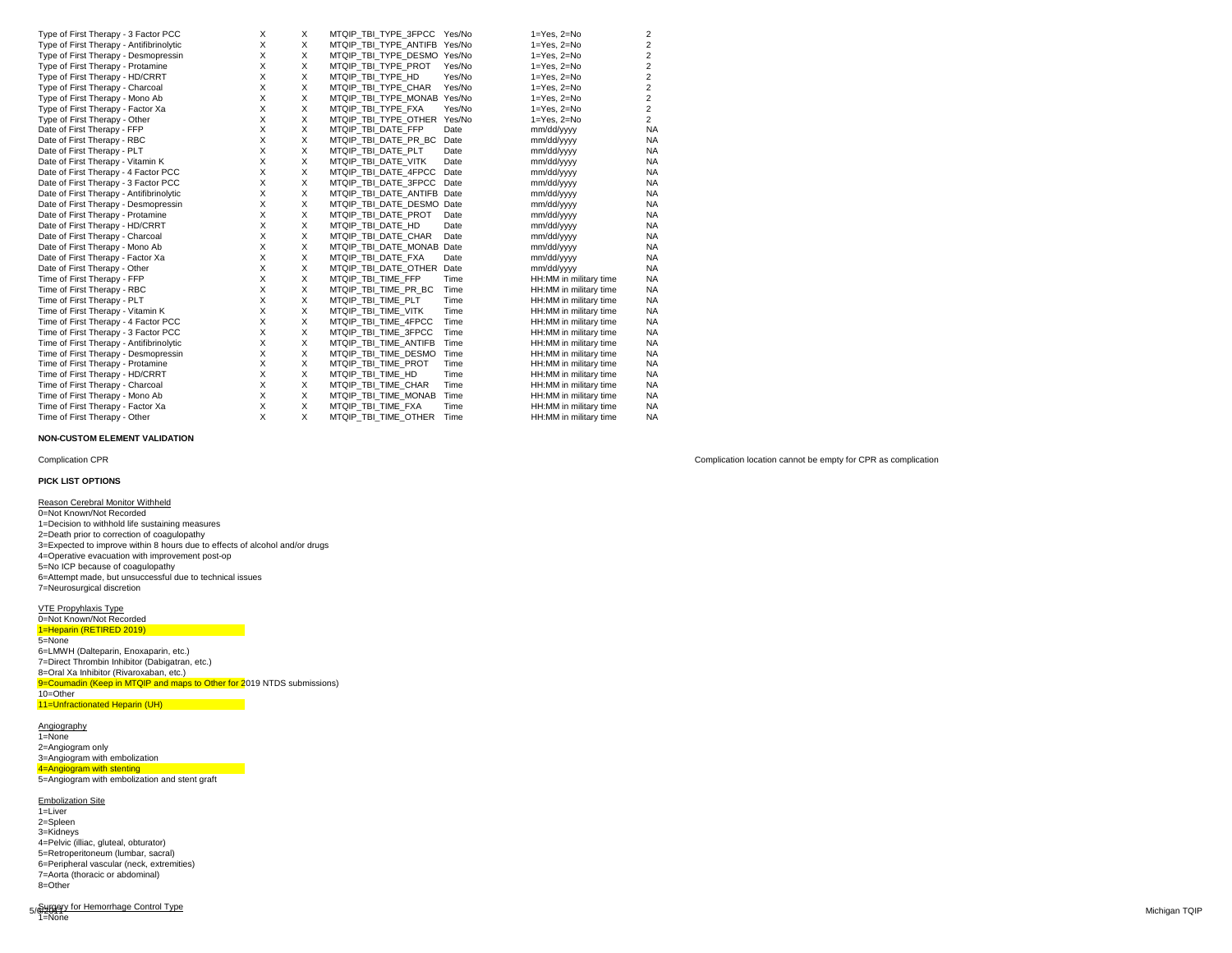| Type of First Therapy - 3 Factor PCC     | X | x | MTQIP TBI TYPE 3FPCC Yes/No  |        | $1 = Yes. 2 = No$      | 2              |
|------------------------------------------|---|---|------------------------------|--------|------------------------|----------------|
| Type of First Therapy - Antifibrinolytic | X | X | MTQIP TBI TYPE ANTIFB Yes/No |        | $1 = Yes. 2 = No$      | 2              |
| Type of First Therapy - Desmopressin     | X | X | MTQIP TBI TYPE DESMO Yes/No  |        | $1 = Yes$ , $2 = No$   | 2              |
| Type of First Therapy - Protamine        | X | X | MTQIP TBI TYPE PROT          | Yes/No | $1 = Yes$ , $2 = No$   | 2              |
| Type of First Therapy - HD/CRRT          | X | X | MTQIP_TBI_TYPE HD            | Yes/No | $1 = Yes$ , $2 = No$   | $\overline{2}$ |
| Type of First Therapy - Charcoal         | X | X | MTQIP TBI TYPE CHAR          | Yes/No | $1 = Yes$ , $2 = No$   | 2              |
| Type of First Therapy - Mono Ab          | X | X | MTQIP TBI TYPE MONAB Yes/No  |        | $1 = Yes$ , $2 = No$   | 2              |
| Type of First Therapy - Factor Xa        | X | X | MTQIP TBI TYPE FXA           | Yes/No | $1 = Yes$ , $2 = No$   | 2              |
| Type of First Therapy - Other            | X | X | MTQIP TBI TYPE OTHER Yes/No  |        | $1 = Yes$ , $2 = No$   | $\overline{2}$ |
| Date of First Therapy - FFP              | X | X | MTQIP TBI DATE FFP           | Date   | mm/dd/yyyy             | <b>NA</b>      |
| Date of First Therapy - RBC              | X | X | MTQIP_TBI_DATE_PR_BC         | Date   | mm/dd/yyyy             | NA             |
| Date of First Therapy - PLT              | X | X | MTQIP TBI DATE PLT           | Date   | mm/dd/yyyy             | <b>NA</b>      |
| Date of First Therapy - Vitamin K        | X | X | MTQIP TBI DATE VITK          | Date   | mm/dd/yyyy             | <b>NA</b>      |
| Date of First Therapy - 4 Factor PCC     | X | X | MTQIP TBI DATE 4FPCC         | Date   | mm/dd/yyyy             | <b>NA</b>      |
| Date of First Therapy - 3 Factor PCC     | X | X | MTQIP_TBI_DATE_3FPCC         | Date   | mm/dd/yyyy             | <b>NA</b>      |
| Date of First Therapy - Antifibrinolytic | X | X | MTQIP_TBI_DATE_ANTIFB        | Date   | mm/dd/yyyy             | <b>NA</b>      |
| Date of First Therapy - Desmopressin     | X | X | MTQIP TBI DATE DESMO         | Date   | mm/dd/yyyy             | <b>NA</b>      |
| Date of First Therapy - Protamine        | X | X | MTQIP TBI DATE PROT          | Date   | mm/dd/yyyy             | <b>NA</b>      |
| Date of First Therapy - HD/CRRT          | X | X | MTQIP TBI DATE HD            | Date   | mm/dd/yyyy             | <b>NA</b>      |
| Date of First Therapy - Charcoal         | X | X | MTQIP_TBI_DATE_CHAR          | Date   | mm/dd/yyyy             | <b>NA</b>      |
| Date of First Therapy - Mono Ab          | X | X | MTQIP TBI DATE MONAB Date    |        | mm/dd/yyyy             | <b>NA</b>      |
| Date of First Therapy - Factor Xa        | X | X | MTQIP TBI DATE FXA           | Date   | mm/dd/yyyy             | <b>NA</b>      |
| Date of First Therapy - Other            | X | X | MTQIP TBI DATE OTHER         | Date   | mm/dd/yyyy             | <b>NA</b>      |
| Time of First Therapy - FFP              | X | X | MTQIP TBI TIME FFP           | Time   | HH:MM in military time | <b>NA</b>      |
| Time of First Therapy - RBC              | X | X | MTQIP TBI TIME PR BC         | Time   | HH:MM in military time | <b>NA</b>      |
| Time of First Therapy - PLT              | X | X | MTQIP TBI TIME PLT           | Time   | HH:MM in military time | <b>NA</b>      |
| Time of First Therapy - Vitamin K        | X | X | MTQIP TBI TIME VITK          | Time   | HH:MM in military time | <b>NA</b>      |
| Time of First Therapy - 4 Factor PCC     | X | X | MTQIP TBI TIME 4FPCC         | Time   | HH:MM in military time | NA             |
| Time of First Therapy - 3 Factor PCC     | X | X | MTQIP TBI TIME 3FPCC         | Time   | HH:MM in military time | <b>NA</b>      |
| Time of First Therapy - Antifibrinolytic | X | X | MTQIP TBI TIME ANTIFB        | Time   | HH:MM in military time | <b>NA</b>      |
| Time of First Therapy - Desmopressin     | X | X | MTQIP TBI TIME DESMO         | Time   | HH:MM in military time | NA             |
| Time of First Therapy - Protamine        | X | X | MTQIP TBI TIME PROT          | Time   | HH:MM in military time | NA             |
| Time of First Therapy - HD/CRRT          | X | X | MTQIP TBI TIME HD            | Time   | HH:MM in military time | <b>NA</b>      |
| Time of First Therapy - Charcoal         | X | X | MTQIP TBI TIME CHAR          | Time   | HH:MM in military time | <b>NA</b>      |
| Time of First Therapy - Mono Ab          | X | X | MTQIP_TBI_TIME_MONAB         | Time   | HH:MM in military time | <b>NA</b>      |
| Time of First Therapy - Factor Xa        | X | X | MTQIP TBI TIME FXA           | Time   | HH:MM in military time | NA             |
| Time of First Therapy - Other            | X | X | MTQIP TBI TIME OTHER         | Time   | HH:MM in military time | <b>NA</b>      |

## **NON-CUSTOM ELEMENT VALIDATION**

## **PICK LIST OPTIONS**

Reason Cerebral Monitor Withheld 0=Not Known/Not Recorded 1=Decision to withhold life sustaining measures 2=Death prior to correction of coagulopathy 3=Expected to improve within 8 hours due to effects of alcohol and/or drugs 4=Operative evacuation with improvement post-op 5=No ICP because of coagulopathy 6=Attempt made, but unsuccessful due to technical issues 7=Neurosurgical discretion

VTE Propyhlaxis Type 0=Not Known/Not Recorded 1=Heparin (RETIRED 2019) 5=None 6=LMWH (Dalteparin, Enoxaparin, etc.) 7=Direct Thrombin Inhibitor (Dabigatran, etc.) 8=Oral Xa Inhibitor (Rivaroxaban, etc.) 9=Coumadin (Keep in MTQIP and maps to Other for 2019 NTDS submissions) 10=Other 11=Unfractionated Heparin (UH)

Angiography 1=None 2=Angiogram only 3=Angiogram with embolization 4=Angiogram with stenting 5=Angiogram with embolization and stent graft

Embolization Site 1=Liver 2=Spleen 3=Kidneys 4=Pelvic (illiac, gluteal, obturator) 5=Retroperitoneum (lumbar, sacral) 6=Peripheral vascular (neck, extremities) 7=Aorta (thoracic or abdominal) 8=Other

Complication CPR Complication location cannot be empty for CPR as complication